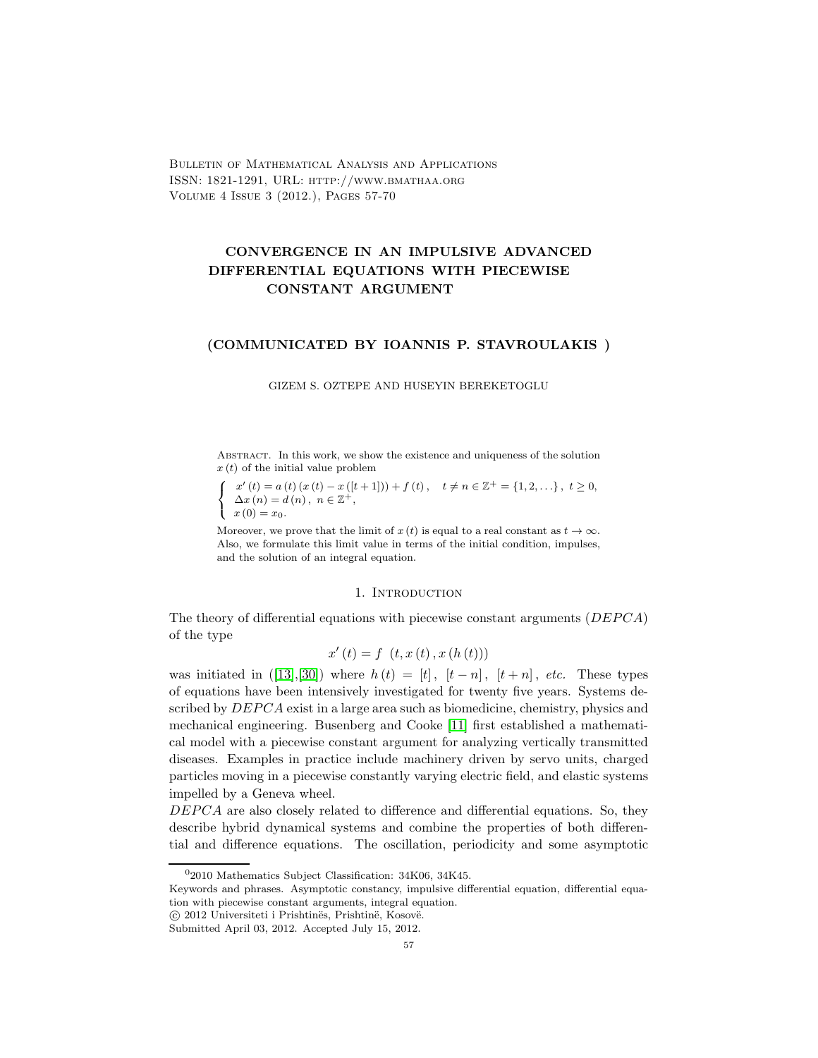Bulletin of Mathematical Analysis and Applications ISSN: 1821-1291, URL: http://www.bmathaa.org Volume 4 Issue 3 (2012.), Pages 57-70

# CONVERGENCE IN AN IMPULSIVE ADVANCED DIFFERENTIAL EQUATIONS WITH PIECEWISE CONSTANT ARGUMENT

### (COMMUNICATED BY IOANNIS P. STAVROULAKIS )

### GIZEM S. OZTEPE AND HUSEYIN BEREKETOGLU

Abstract. In this work, we show the existence and uniqueness of the solution  $x(t)$  of the initial value problem

$$
\begin{cases}\n x'(t) = a(t) (x(t) - x([t+1])) + f(t), \quad t \neq n \in \mathbb{Z}^+ = \{1, 2, \ldots\}, \ t \geq 0, \\
 \Delta x(n) = d(n), \ n \in \mathbb{Z}^+, \\
 x(0) = x_0.\n\end{cases}
$$

Moreover, we prove that the limit of  $x(t)$  is equal to a real constant as  $t \to \infty$ . Also, we formulate this limit value in terms of the initial condition, impulses, and the solution of an integral equation.

#### 1. INTRODUCTION

The theory of differential equations with piecewise constant arguments  $(DEPCA)$ of the type

$$
x'(t) = f(t, x(t), x(h(t)))
$$

was initiated in  $([13],[30])$  $([13],[30])$  $([13],[30])$  $([13],[30])$  $([13],[30])$  where  $h(t) = [t], [t - n], [t + n],$  etc. These types of equations have been intensively investigated for twenty five years. Systems described by  $DEPCA$  exist in a large area such as biomedicine, chemistry, physics and mechanical engineering. Busenberg and Cooke [\[11\]](#page-12-1) first established a mathematical model with a piecewise constant argument for analyzing vertically transmitted diseases. Examples in practice include machinery driven by servo units, charged particles moving in a piecewise constantly varying electric field, and elastic systems impelled by a Geneva wheel.

 $DEPCA$  are also closely related to difference and differential equations. So, they describe hybrid dynamical systems and combine the properties of both differential and difference equations. The oscillation, periodicity and some asymptotic

<sup>0</sup>2010 Mathematics Subject Classification: 34K06, 34K45.

Keywords and phrases. Asymptotic constancy, impulsive differential equation, differential equation with piecewise constant arguments, integral equation.

c 2012 Universiteti i Prishtin¨es, Prishtin¨e, Kosov¨e.

Submitted April 03, 2012. Accepted July 15, 2012.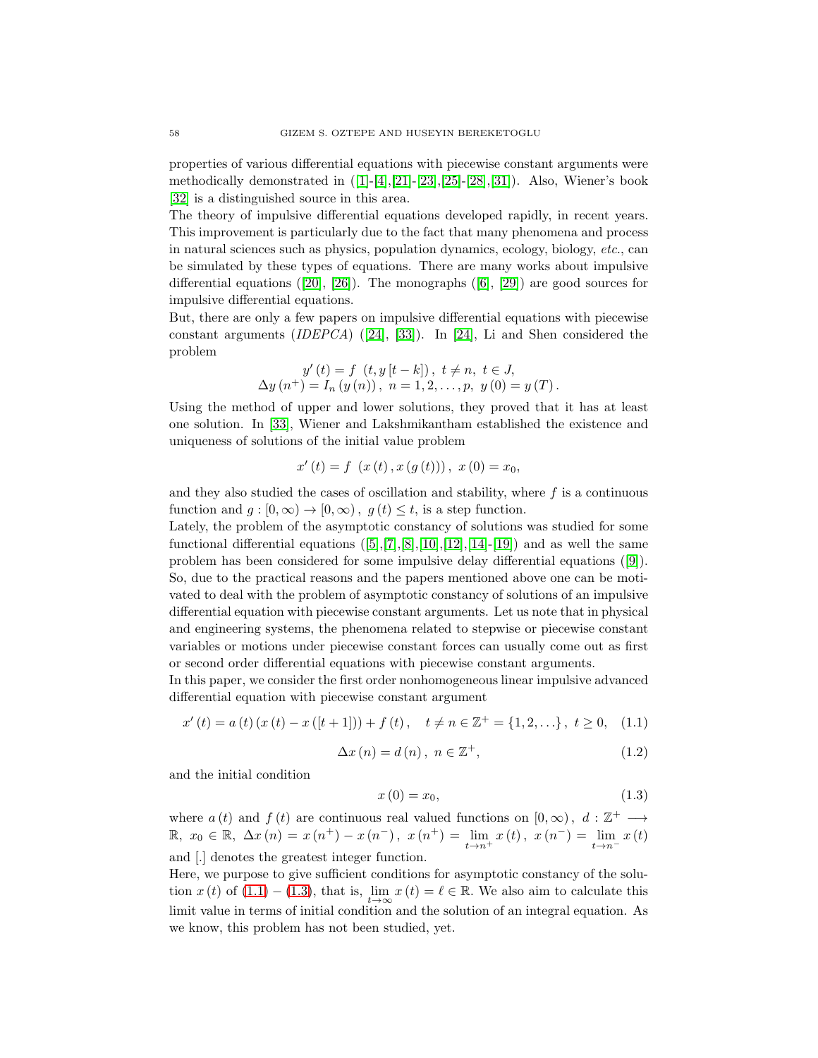properties of various differential equations with piecewise constant arguments were methodically demonstrated in  $([1]-[4], [21]-[23], [25]-[28], [31]$  $([1]-[4], [21]-[23], [25]-[28], [31]$  $([1]-[4], [21]-[23], [25]-[28], [31]$  $([1]-[4], [21]-[23], [25]-[28], [31]$  $([1]-[4], [21]-[23], [25]-[28], [31]$  $([1]-[4], [21]-[23], [25]-[28], [31]$  $([1]-[4], [21]-[23], [25]-[28], [31]$  $([1]-[4], [21]-[23], [25]-[28], [31]$  $([1]-[4], [21]-[23], [25]-[28], [31]$  $([1]-[4], [21]-[23], [25]-[28], [31]$  $([1]-[4], [21]-[23], [25]-[28], [31]$  $([1]-[4], [21]-[23], [25]-[28], [31]$  $([1]-[4], [21]-[23], [25]-[28], [31]$  $([1]-[4], [21]-[23], [25]-[28], [31]$ ). Also, Wiener's book [\[32\]](#page-13-6) is a distinguished source in this area.

The theory of impulsive differential equations developed rapidly, in recent years. This improvement is particularly due to the fact that many phenomena and process in natural sciences such as physics, population dynamics, ecology, biology, etc., can be simulated by these types of equations. There are many works about impulsive differential equations  $([20], [26])$  $([20], [26])$  $([20], [26])$  $([20], [26])$  $([20], [26])$ . The monographs  $([6], [29])$  $([6], [29])$  $([6], [29])$  $([6], [29])$  $([6], [29])$  are good sources for impulsive differential equations.

But, there are only a few papers on impulsive differential equations with piecewise constant arguments (*IDEPCA*) ([\[24\]](#page-13-10), [\[33\]](#page-13-11)). In [\[24\]](#page-13-10), Li and Shen considered the problem

$$
y'(t) = f(t, y[t-k]), \ t \neq n, \ t \in J,
$$
  
\n
$$
\Delta y(n^+) = I_n(y(n)), \ n = 1, 2, \dots, p, \ y(0) = y(T).
$$

Using the method of upper and lower solutions, they proved that it has at least one solution. In [\[33\]](#page-13-11), Wiener and Lakshmikantham established the existence and uniqueness of solutions of the initial value problem

$$
x'(t) = f(x(t), x(g(t))), x(0) = x_0,
$$

and they also studied the cases of oscillation and stability, where  $f$  is a continuous function and  $g : [0, \infty) \to [0, \infty)$ ,  $g(t) \leq t$ , is a step function.

Lately, the problem of the asymptotic constancy of solutions was studied for some functional differential equations  $([5],[7],[8],[10],[12],[14]-[19])$  $([5],[7],[8],[10],[12],[14]-[19])$  $([5],[7],[8],[10],[12],[14]-[19])$  $([5],[7],[8],[10],[12],[14]-[19])$  $([5],[7],[8],[10],[12],[14]-[19])$  $([5],[7],[8],[10],[12],[14]-[19])$  $([5],[7],[8],[10],[12],[14]-[19])$  $([5],[7],[8],[10],[12],[14]-[19])$  $([5],[7],[8],[10],[12],[14]-[19])$  $([5],[7],[8],[10],[12],[14]-[19])$  $([5],[7],[8],[10],[12],[14]-[19])$  $([5],[7],[8],[10],[12],[14]-[19])$  $([5],[7],[8],[10],[12],[14]-[19])$  $([5],[7],[8],[10],[12],[14]-[19])$  $([5],[7],[8],[10],[12],[14]-[19])$  and as well the same problem has been considered for some impulsive delay differential equations ([\[9\]](#page-12-11)). So, due to the practical reasons and the papers mentioned above one can be motivated to deal with the problem of asymptotic constancy of solutions of an impulsive differential equation with piecewise constant arguments. Let us note that in physical and engineering systems, the phenomena related to stepwise or piecewise constant variables or motions under piecewise constant forces can usually come out as first or second order differential equations with piecewise constant arguments.

In this paper, we consider the first order nonhomogeneous linear impulsive advanced differential equation with piecewise constant argument

<span id="page-1-0"></span>
$$
x'(t) = a(t)(x(t) - x([t+1])) + f(t), \quad t \neq n \in \mathbb{Z}^+ = \{1, 2, \ldots\}, \ t \geq 0, \quad (1.1)
$$

<span id="page-1-2"></span>
$$
\Delta x\left(n\right) = d\left(n\right), \ n \in \mathbb{Z}^{+},\tag{1.2}
$$

and the initial condition

<span id="page-1-1"></span>
$$
x(0) = x_0,\tag{1.3}
$$

where  $a(t)$  and  $f(t)$  are continuous real valued functions on  $[0,\infty)$ ,  $d: \mathbb{Z}^+ \longrightarrow$  $\mathbb{R}, x_0 \in \mathbb{R}, \Delta x(n) = x(n^+) - x(n^-), x(n^+) = \lim_{t \to n^+} x(t), x(n^-) = \lim_{t \to n^-} x(t)$ and [.] denotes the greatest integer function.

Here, we purpose to give sufficient conditions for asymptotic constancy of the solution  $x(t)$  of  $(1.1) - (1.3)$  $(1.1) - (1.3)$  $(1.1) - (1.3)$  $(1.1) - (1.3)$ , that is,  $\lim_{t \to \infty} x(t) = \ell \in \mathbb{R}$ . We also aim to calculate this limit value in terms of initial condition and the solution of an integral equation. As we know, this problem has not been studied, yet.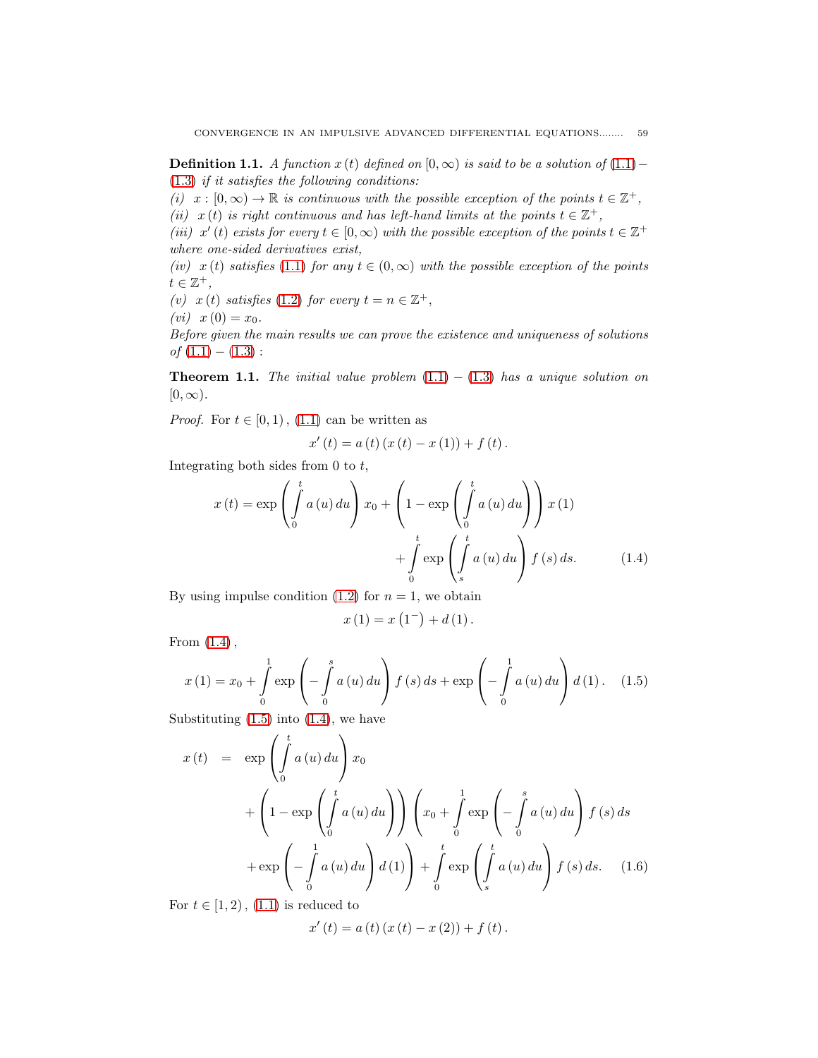**Definition 1.1.** A function  $x(t)$  defined on  $[0, \infty)$  is said to be a solution of  $(1.1)$  $(1.1)$ − (1.[3\)](#page-1-1) if it satisfies the following conditions:

(i)  $x : [0, \infty) \to \mathbb{R}$  is continuous with the possible exception of the points  $t \in \mathbb{Z}^+$ , (ii) x(t) is right continuous and has left-hand limits at the points  $t \in \mathbb{Z}^+$ ,

(iii) x'(t) exists for every  $t \in [0, \infty)$  with the possible exception of the points  $t \in \mathbb{Z}^+$ where one-sided derivatives exist,

(iv)  $x(t)$  satisfies [\(1](#page-1-0).1) for any  $t \in (0,\infty)$  with the possible exception of the points  $t \in \mathbb{Z}^+,$ 

(v)  $x(t)$  satisfies [\(1](#page-1-2).2) for every  $t = n \in \mathbb{Z}^+,$ 

 $(vi)$   $x(0) = x_0$ .

Before given the main results we can prove the existence and uniqueness of solutions  $of (1.1) - (1.3)$  $of (1.1) - (1.3)$  $of (1.1) - (1.3)$  $of (1.1) - (1.3)$ :

**Theorem 1.1.** The initial value problem  $(1.1) - (1.3)$  $(1.1) - (1.3)$  $(1.1) - (1.3)$  $(1.1) - (1.3)$  has a unique solution on  $[0, \infty)$ .

*Proof.* For  $t \in [0, 1)$ , [\(1](#page-1-0).1) can be written as

$$
x'(t) = a(t) (x(t) - x(1)) + f(t).
$$

Integrating both sides from 0 to t,

<span id="page-2-0"></span>
$$
x(t) = \exp\left(\int_0^t a(u) du\right) x_0 + \left(1 - \exp\left(\int_0^t a(u) du\right)\right) x(1)
$$

$$
+ \int_0^t \exp\left(\int_s^t a(u) du\right) f(s) ds. \tag{1.4}
$$

By using impulse condition (1.[2\)](#page-1-2) for  $n = 1$ , we obtain

$$
x(1) = x(1^{-}) + d(1).
$$

From [\(1](#page-2-0).4),

<span id="page-2-1"></span>
$$
x(1) = x_0 + \int_0^1 \exp\left(-\int_0^s a(u) \, du\right) f(s) \, ds + \exp\left(-\int_0^1 a(u) \, du\right) d(1). \tag{1.5}
$$

Substituting  $(1.5)$  $(1.5)$  into  $(1.4)$  $(1.4)$ , we have

$$
x(t) = \exp\left(\int_{0}^{t} a(u) du\right) x_0
$$
  
+ 
$$
\left(1 - \exp\left(\int_{0}^{t} a(u) du\right)\right) \left(x_0 + \int_{0}^{1} \exp\left(-\int_{0}^{s} a(u) du\right) f(s) ds
$$
  
+ 
$$
\exp\left(-\int_{0}^{1} a(u) du\right) d(1)\right) + \int_{0}^{t} \exp\left(\int_{s}^{t} a(u) du\right) f(s) ds.
$$
 (1.6)

For  $t \in [1, 2)$ ,  $(1.1)$  $(1.1)$  is reduced to

$$
x'(t) = a(t) (x(t) - x(2)) + f(t).
$$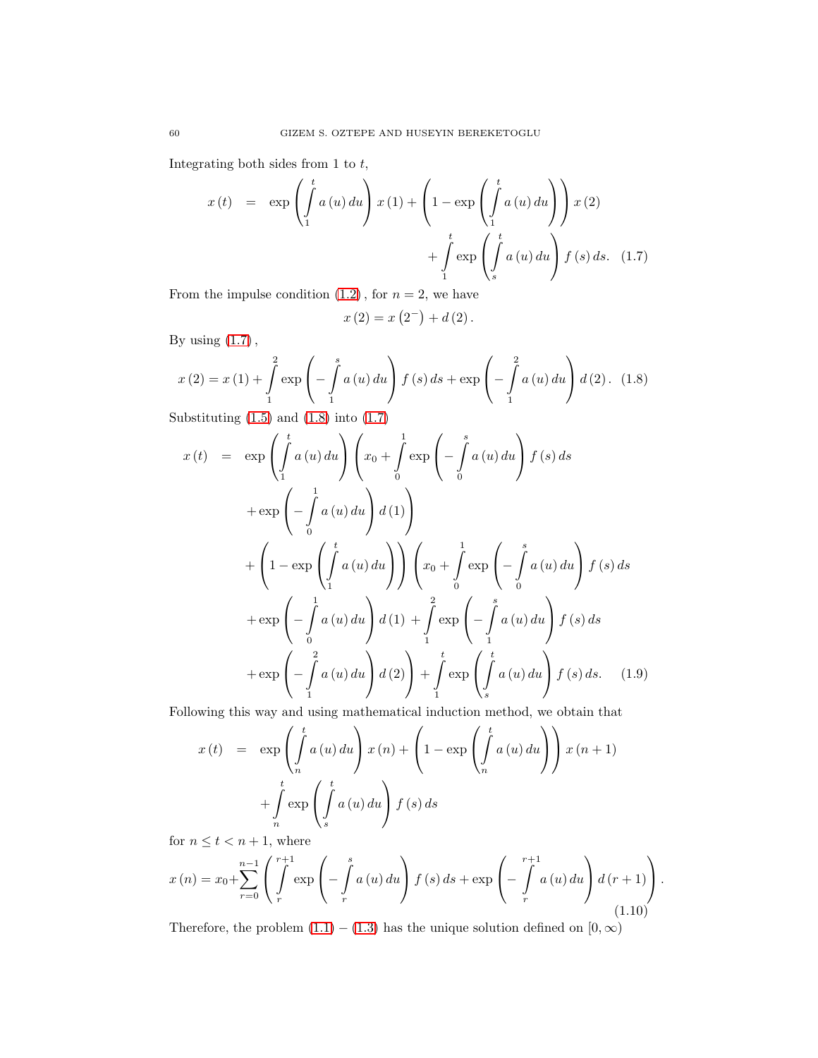Integrating both sides from 1 to  $t$ ,

<span id="page-3-0"></span>
$$
x(t) = \exp\left(\int_{1}^{t} a(u) du\right) x(1) + \left(1 - \exp\left(\int_{1}^{t} a(u) du\right)\right) x(2) + \int_{1}^{t} \exp\left(\int_{s}^{t} a(u) du\right) f(s) ds. \quad (1.7)
$$

From the impulse condition  $(1.2)$ , for  $n = 2$ , we have

$$
x(2) = x(2^{-}) + d(2).
$$

By using [\(1](#page-3-0).7),

<span id="page-3-1"></span>
$$
x(2) = x(1) + \int_{1}^{2} \exp\left(-\int_{1}^{s} a(u) \, du\right) f(s) \, ds + \exp\left(-\int_{1}^{2} a(u) \, du\right) d(2). \tag{1.8}
$$

Substituting  $(1.5)$  $(1.5)$  and  $(1.8)$  into  $(1.7)$  $(1.7)$ 

$$
x(t) = \exp\left(\int_{1}^{t} a(u) du\right) \left(x_{0} + \int_{0}^{1} \exp\left(-\int_{0}^{s} a(u) du\right) f(s) ds
$$
  
+ 
$$
\exp\left(-\int_{0}^{1} a(u) du\right) d(1)\right)
$$
  
+ 
$$
\left(1 - \exp\left(\int_{1}^{t} a(u) du\right)\right) \left(x_{0} + \int_{0}^{1} \exp\left(-\int_{0}^{s} a(u) du\right) f(s) ds
$$
  
+ 
$$
\exp\left(-\int_{0}^{1} a(u) du\right) d(1) + \int_{1}^{2} \exp\left(-\int_{1}^{s} a(u) du\right) f(s) ds
$$
  
+ 
$$
\exp\left(-\int_{1}^{2} a(u) du\right) d(2)\right) + \int_{1}^{t} \exp\left(\int_{s}^{t} a(u) du\right) f(s) ds.
$$
 (1.9)

Following this way and using mathematical induction method, we obtain that

$$
x(t) = \exp\left(\int_{n}^{t} a(u) du\right) x(n) + \left(1 - \exp\left(\int_{n}^{t} a(u) du\right)\right) x(n+1)
$$

$$
+ \int_{n}^{t} \exp\left(\int_{s}^{t} a(u) du\right) f(s) ds
$$

for  $n \leq t < n + 1$ , where

$$
x(n) = x_0 + \sum_{r=0}^{n-1} \left( \int_{r}^{r+1} \exp\left(-\int_{r}^{s} a(u) \, du\right) f(s) \, ds + \exp\left(-\int_{r}^{r+1} a(u) \, du\right) d(r+1) \right). \tag{1.10}
$$

Therefore, the problem  $(1.1) - (1.3)$  $(1.1) - (1.3)$  $(1.1) - (1.3)$  has the unique solution defined on  $[0, \infty)$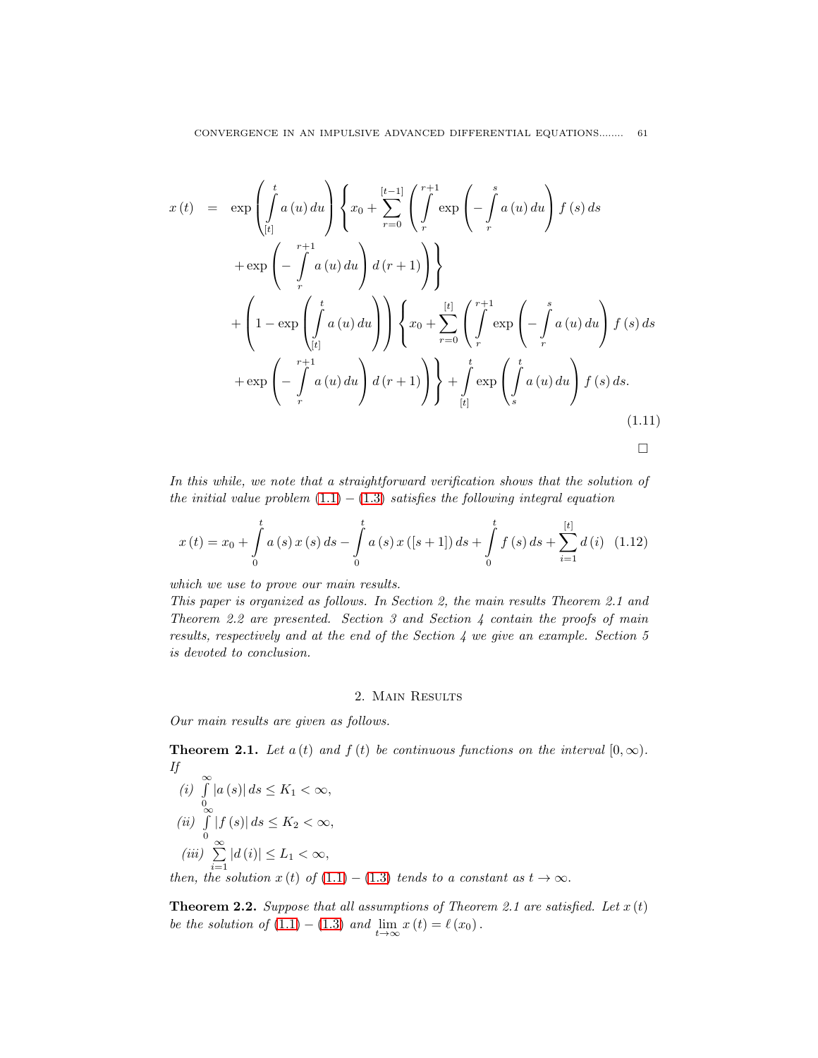<span id="page-4-1"></span>
$$
x(t) = \exp\left(\int_{[t]}^{t} a(u) du\right) \left\{x_0 + \sum_{r=0}^{[t-1]} \left(\int_{r}^{r+1} \exp\left(-\int_{r}^{s} a(u) du\right) f(s) ds + \exp\left(-\int_{r}^{r+1} a(u) du\right) d(r+1)\right)\right\}
$$
  
+ 
$$
\left(1 - \exp\left(\int_{[t]}^{t} a(u) du\right) d(r+1)\right) \left\{x_0 + \sum_{r=0}^{[t]} \left(\int_{r}^{r+1} \exp\left(-\int_{r}^{s} a(u) du\right) f(s) ds + \exp\left(-\int_{r}^{r+1} a(u) du\right) d(r+1)\right)\right\} + \int_{[t]}^{t} \exp\left(\int_{s}^{t} a(u) du\right) f(s) ds.
$$
(1.11)

$$
\Box
$$

In this while, we note that a straightforward verification shows that the solution of the initial value problem  $(1.1) - (1.3)$  $(1.1) - (1.3)$  $(1.1) - (1.3)$  satisfies the following integral equation

<span id="page-4-0"></span>
$$
x(t) = x_0 + \int_0^t a(s) x(s) ds - \int_0^t a(s) x([s+1]) ds + \int_0^t f(s) ds + \sum_{i=1}^{[t]} d(i) \quad (1.12)
$$

which we use to prove our main results.

This paper is organized as follows. In Section 2, the main results Theorem 2.1 and Theorem 2.2 are presented. Section 3 and Section 4 contain the proofs of main results, respectively and at the end of the Section 4 we give an example. Section 5 is devoted to conclusion.

# 2. Main Results

Our main results are given as follows.

**Theorem 2.1.** Let a (t) and  $f(t)$  be continuous functions on the interval  $[0, \infty)$ . If

(i) 
$$
\int_{0}^{\infty} |a(s)| ds \leq K_1 < \infty,
$$
  
\n(ii) 
$$
\int_{0}^{\infty} |f(s)| ds \leq K_2 < \infty,
$$
  
\n(iii) 
$$
\sum_{i=1}^{\infty} |d(i)| \leq L_1 < \infty,
$$
  
\nthen, the solution  $x(t)$  of (1.1) – (1.3) tends to a constant as  $t \to \infty$ .

**Theorem 2.2.** Suppose that all assumptions of Theorem 2.1 are satisfied. Let  $x(t)$ be the solution of  $(1.1) - (1.3)$  $(1.1) - (1.3)$  and  $\lim_{t \to \infty} x(t) = \ell(x_0)$ .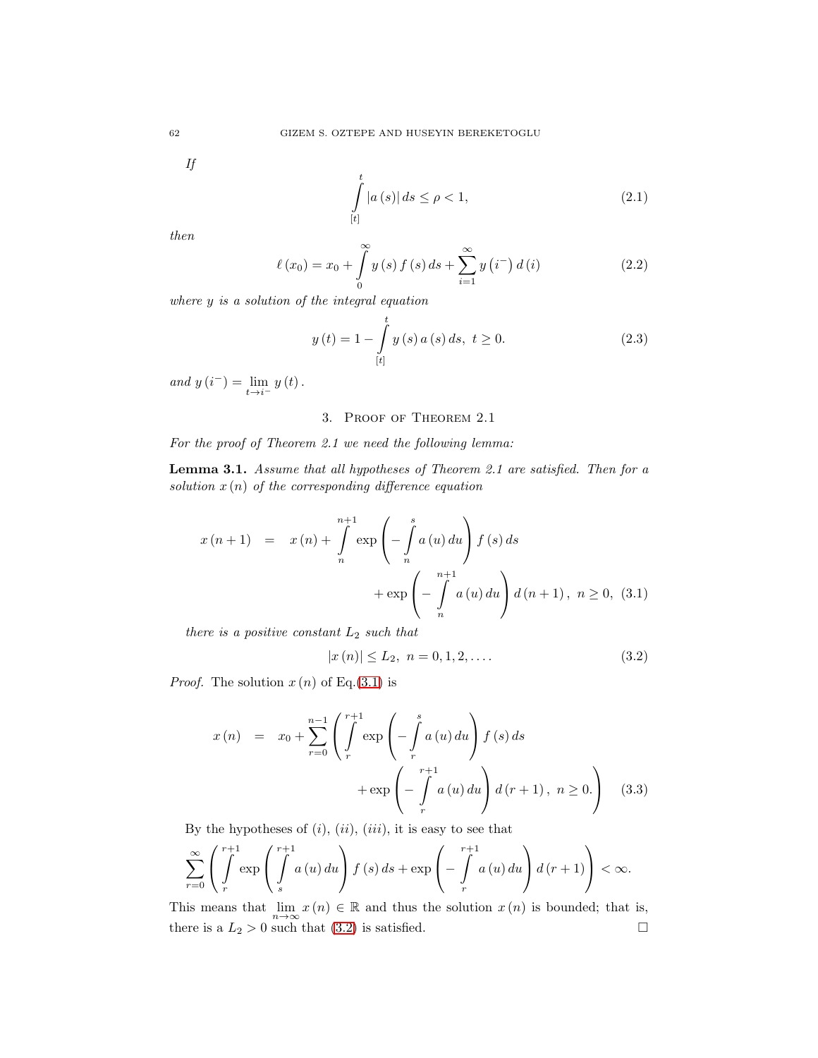If

<span id="page-5-2"></span>
$$
\int_{[t]}^{t} |a(s)| ds \le \rho < 1,
$$
\n(2.1)

then

<span id="page-5-4"></span>
$$
\ell(x_0) = x_0 + \int_{0}^{\infty} y(s) f(s) ds + \sum_{i=1}^{\infty} y(i^{-}) d(i)
$$
 (2.2)

where y is a solution of the integral equation

<span id="page-5-3"></span>
$$
y(t) = 1 - \int_{[t]}^{t} y(s) a(s) ds, t \ge 0.
$$
 (2.3)

and  $y(i^-) = \lim_{t \to i^-} y(t)$ .

# 3. Proof of Theorem 2.1

For the proof of Theorem 2.1 we need the following lemma:

Lemma 3.1. Assume that all hypotheses of Theorem 2.1 are satisfied. Then for a solution  $x(n)$  of the corresponding difference equation

<span id="page-5-0"></span>
$$
x(n+1) = x(n) + \int_{n}^{n+1} \exp\left(-\int_{n}^{s} a(u) du\right) f(s) ds + \exp\left(-\int_{n}^{n+1} a(u) du\right) d(n+1), \quad n \ge 0, \quad (3.1)
$$

there is a positive constant  $\mathcal{L}_2$  such that

<span id="page-5-1"></span>
$$
|x(n)| \le L_2, \ n = 0, 1, 2, \dots \tag{3.2}
$$

*Proof.* The solution  $x(n)$  of Eq.[\(3](#page-5-0).1) is

$$
x(n) = x_0 + \sum_{r=0}^{n-1} \left( \int_{r}^{r+1} \exp\left(-\int_{r}^{s} a(u) du\right) f(s) ds + \exp\left(-\int_{r}^{r+1} a(u) du\right) d(r+1), \quad n \ge 0. \right)
$$
 (3.3)

By the hypotheses of  $(i)$ ,  $(ii)$ ,  $(iii)$ , it is easy to see that

$$
\sum_{r=0}^{\infty} \left( \int_{r}^{r+1} \exp \left( \int_{s}^{r+1} a(u) \, du \right) f(s) \, ds + \exp \left( - \int_{r}^{r+1} a(u) \, du \right) d(r+1) \right) < \infty.
$$

This means that  $\lim_{n\to\infty} x(n) \in \mathbb{R}$  and thus the solution  $x(n)$  is bounded; that is, there is a  $L_2 > 0$  such that [\(3](#page-5-1).2) is satisfied.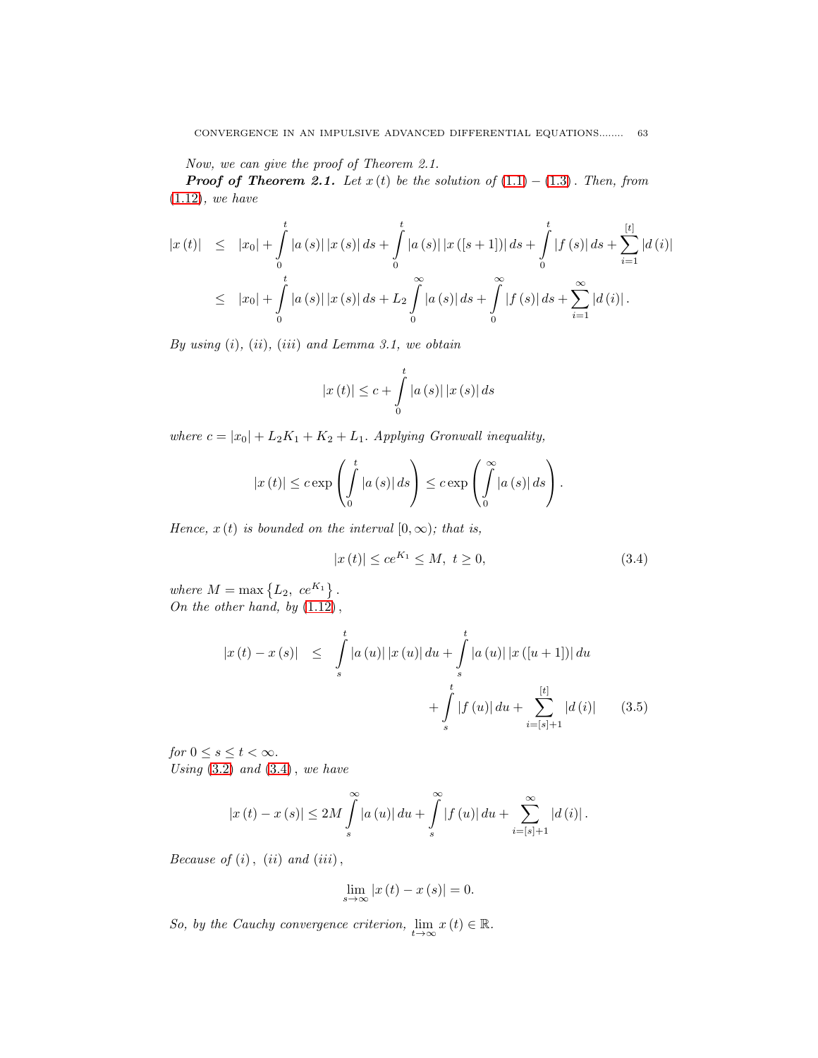Now, we can give the proof of Theorem 2.1.

**Proof of Theorem 2.1.** Let  $x(t)$  be the solution of  $(1.1) - (1.3)$  $(1.1) - (1.3)$ . Then, from (1.[12\)](#page-4-0), we have

$$
|x(t)| \leq |x_0| + \int_0^t |a(s)| |x(s)| ds + \int_0^t |a(s)| |x([s+1])| ds + \int_0^t |f(s)| ds + \sum_{i=1}^{[t]} |d(i)|
$$
  

$$
\leq |x_0| + \int_0^t |a(s)| |x(s)| ds + L_2 \int_0^\infty |a(s)| ds + \int_0^\infty |f(s)| ds + \sum_{i=1}^\infty |d(i)|.
$$

By using  $(i)$ ,  $(ii)$ ,  $(iii)$  and Lemma 3.1, we obtain

$$
|x(t)| \leq c + \int_{0}^{t} |a(s)| |x(s)| ds
$$

where  $c = |x_0| + L_2K_1 + K_2 + L_1$ . Applying Gronwall inequality,

$$
|x(t)| \leq c \exp \left(\int_{0}^{t} |a(s)| ds\right) \leq c \exp \left(\int_{0}^{\infty} |a(s)| ds\right).
$$

Hence,  $x(t)$  is bounded on the interval  $[0, \infty)$ ; that is,

<span id="page-6-0"></span>
$$
|x(t)| \le ce^{K_1} \le M, \ t \ge 0,
$$
\n(3.4)

where  $M = \max\left\{L_2, ce^{K_1}\right\}.$ On the other hand, by  $(1.12)$  $(1.12)$ ,

$$
|x(t) - x(s)| \leq \int_{s}^{t} |a(u)| |x(u)| du + \int_{s}^{t} |a(u)| |x([u+1])| du
$$
  
+ 
$$
\int_{s}^{t} |f(u)| du + \sum_{i=[s]+1}^{[t]} |d(i)| \qquad (3.5)
$$

for  $0 \leq s \leq t < \infty$ . Using  $(3.2)$  $(3.2)$  and  $(3.4)$  $(3.4)$ , we have

$$
|x(t) - x(s)| \le 2M \int_{s}^{\infty} |a(u)| du + \int_{s}^{\infty} |f(u)| du + \sum_{i= [s]+1}^{\infty} |d(i)|.
$$

Because of  $(i)$ ,  $(ii)$  and  $(iii)$ ,

$$
\lim_{s \to \infty} |x(t) - x(s)| = 0.
$$

So, by the Cauchy convergence criterion,  $\lim_{t\to\infty} x(t) \in \mathbb{R}$ .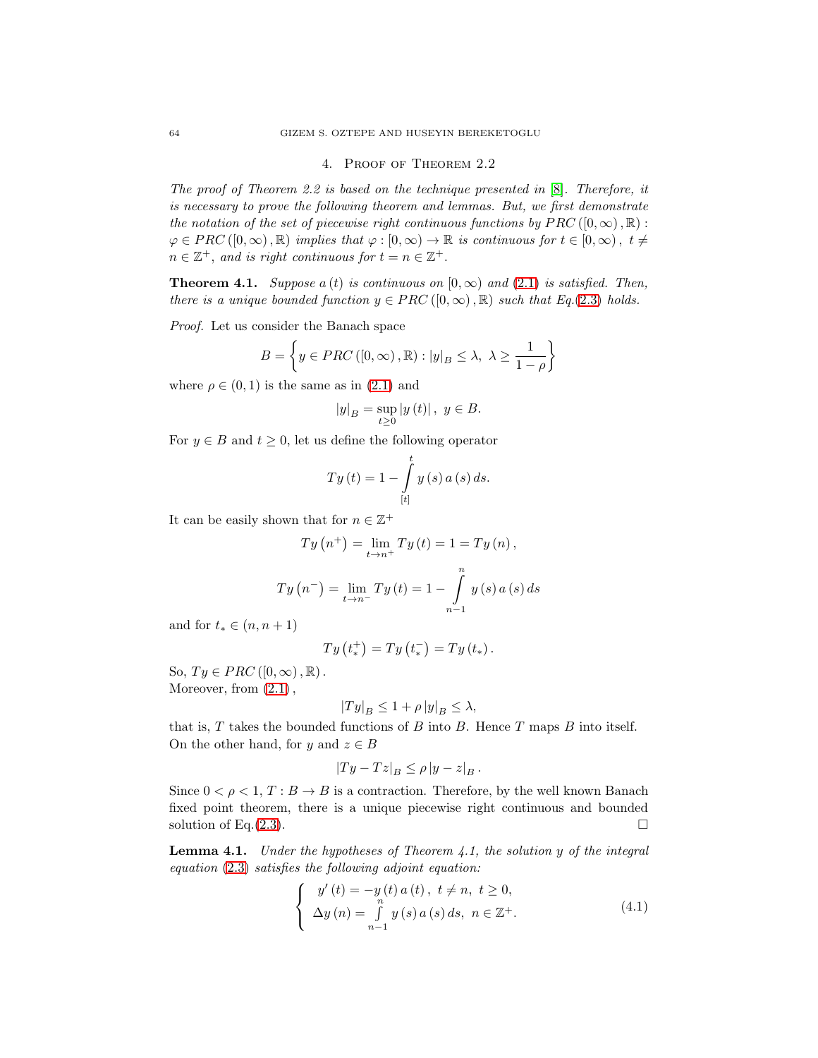#### 4. Proof of Theorem 2.2

The proof of Theorem 2.2 is based on the technique presented in  $[8]$ . Therefore, it is necessary to prove the following theorem and lemmas. But, we first demonstrate the notation of the set of piecewise right continuous functions by  $PRC([0,\infty), \mathbb{R})$ :  $\varphi \in PRC([0,\infty), \mathbb{R})$  implies that  $\varphi : [0,\infty) \to \mathbb{R}$  is continuous for  $t \in [0,\infty)$ ,  $t \neq$  $n \in \mathbb{Z}^+$ , and is right continuous for  $t = n \in \mathbb{Z}^+$ .

**Theorem 4.1.** Suppose a (t) is continuous on  $[0, \infty)$  and  $(2.1)$  $(2.1)$  is satisfied. Then, there is a unique bounded function  $y \in PRC([0,\infty), \mathbb{R})$  such that Eq.[\(2](#page-5-3).3) holds.

Proof. Let us consider the Banach space

$$
B = \left\{ y \in PRC\left( [0, \infty) , \mathbb{R} \right) : |y|_B \le \lambda, \ \lambda \ge \frac{1}{1 - \rho} \right\}
$$

where  $\rho \in (0,1)$  is the same as in  $(2.1)$  and

$$
|y|_{B} = \sup_{t \geq 0} |y(t)|, y \in B.
$$

For  $y \in B$  and  $t \geq 0$ , let us define the following operator

$$
Ty(t) = 1 - \int_{[t]}^{t} y(s) a(s) ds.
$$

It can be easily shown that for  $n \in \mathbb{Z}^+$ 

$$
Ty (n^{+}) = \lim_{t \to n^{+}} Ty (t) = 1 = Ty (n),
$$
  

$$
Ty (n^{-}) = \lim_{t \to n^{-}} Ty (t) = 1 - \int_{n^{-}}^{n} y (s) a (s) ds
$$

and for  $t_* \in (n, n+1)$ 

$$
Ty(t_{*}^{+}) = Ty(t_{*}^{-}) = Ty(t_{*}).
$$

So,  $Ty \in PRC([0,\infty),\mathbb{R})$ . Moreover, from  $(2.1)$ ,

$$
|Ty|_B \le 1 + \rho |y|_B \le \lambda,
$$

that is,  $T$  takes the bounded functions of  $B$  into  $B$ . Hence  $T$  maps  $B$  into itself. On the other hand, for y and  $z \in B$ 

$$
|Ty - Tz|_{B} \le \rho |y - z|_{B}.
$$

Since  $0 < \rho < 1$ ,  $T : B \to B$  is a contraction. Therefore, by the well known Banach fixed point theorem, there is a unique piecewise right continuous and bounded solution of Eq.[\(2](#page-5-3).3).

**Lemma 4.1.** Under the hypotheses of Theorem 4.1, the solution y of the integral equation [\(2](#page-5-3).3) satisfies the following adjoint equation:

$$
\begin{cases}\n y'(t) = -y(t) a(t), \ t \neq n, \ t \geq 0, \\
 \Delta y(n) = \int_{n-1}^{n} y(s) a(s) ds, \ n \in \mathbb{Z}^{+}.\n\end{cases}
$$
\n(4.1)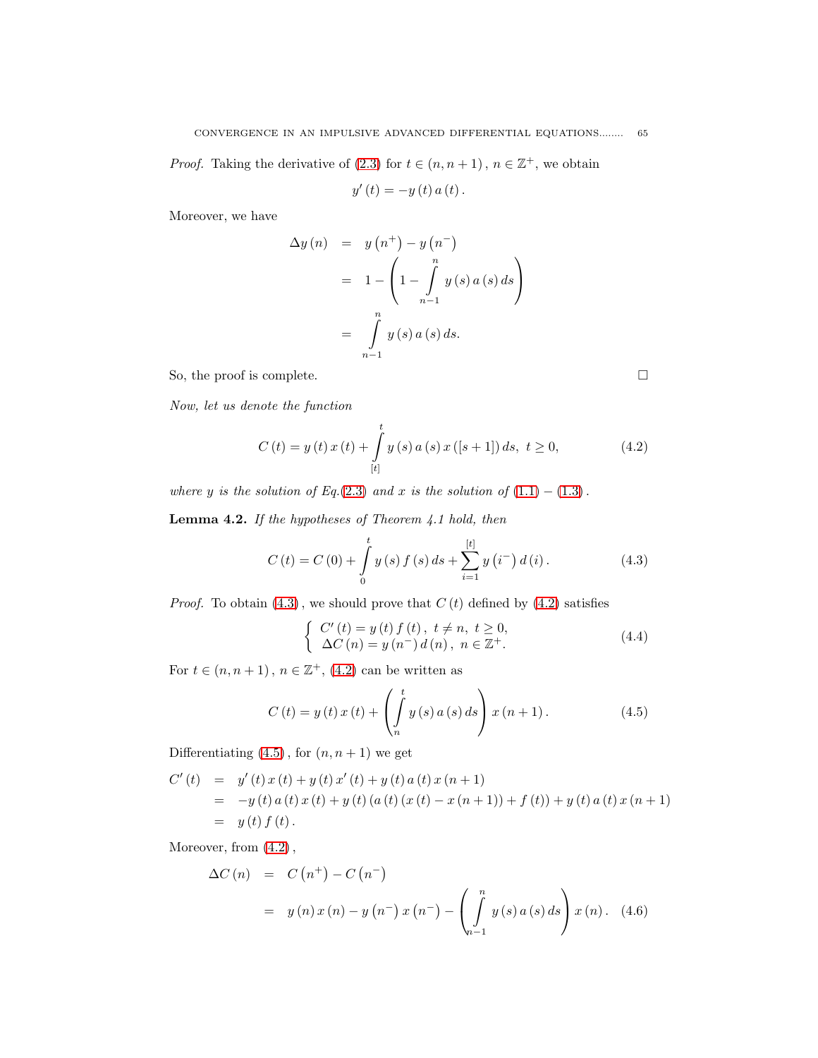*Proof.* Taking the derivative of [\(2](#page-5-3).3) for  $t \in (n, n + 1)$ ,  $n \in \mathbb{Z}^+$ , we obtain

$$
y'(t) = -y(t) a(t).
$$

Moreover, we have

$$
\Delta y(n) = y(n^+) - y(n^-)
$$
  
=  $1 - \left(1 - \int_{n-1}^n y(s) a(s) ds\right)$   
=  $\int_{n-1}^n y(s) a(s) ds.$ 

So, the proof is complete.

Now, let us denote the function

<span id="page-8-1"></span>
$$
C(t) = y(t)x(t) + \int_{[t]}^{t} y(s) a(s)x([s+1]) ds, t \ge 0,
$$
\n(4.2)

where y is the solution of Eq.[\(2](#page-5-3).3) and x is the solution of  $(1.1) - (1.3)$  $(1.1) - (1.3)$  $(1.1) - (1.3)$  $(1.1) - (1.3)$  $(1.1) - (1.3)$ .

Lemma 4.2. If the hypotheses of Theorem 4.1 hold, then

<span id="page-8-0"></span>
$$
C(t) = C(0) + \int_{0}^{t} y(s) f(s) ds + \sum_{i=1}^{[t]} y(i^{-}) d(i).
$$
 (4.3)

*Proof.* To obtain  $(4.3)$ , we should prove that  $C(t)$  defined by  $(4.2)$  satisfies

<span id="page-8-4"></span>
$$
\begin{cases}\nC'(t) = y(t) f(t), \ t \neq n, \ t \geq 0, \\
\Delta C(n) = y(n^{-}) d(n), \ n \in \mathbb{Z}^{+}.\n\end{cases} (4.4)
$$

For  $t \in (n, n+1)$ ,  $n \in \mathbb{Z}^+$ , (4.[2\)](#page-8-1) can be written as

<span id="page-8-2"></span>
$$
C(t) = y(t)x(t) + \left(\int_{n}^{t} y(s) a(s) ds\right) x(n+1).
$$
 (4.5)

Differentiating  $(4.5)$  $(4.5)$ , for  $(n, n + 1)$  we get

$$
C'(t) = y'(t) x(t) + y(t) x'(t) + y(t) a(t) x (n + 1)
$$
  
= -y(t) a(t) x(t) + y(t) (a(t) (x(t) - x (n + 1)) + f(t)) + y(t) a(t) x (n + 1)  
= y(t) f(t).

Moreover, from  $(4.2)$ ,

<span id="page-8-3"></span>
$$
\Delta C(n) = C(n^{+}) - C(n^{-})
$$
  
=  $y(n)x(n) - y(n^{-})x(n^{-}) - \left(\int_{n-1}^{n} y(s) a(s) ds\right) x(n).$  (4.6)

$$
\Box
$$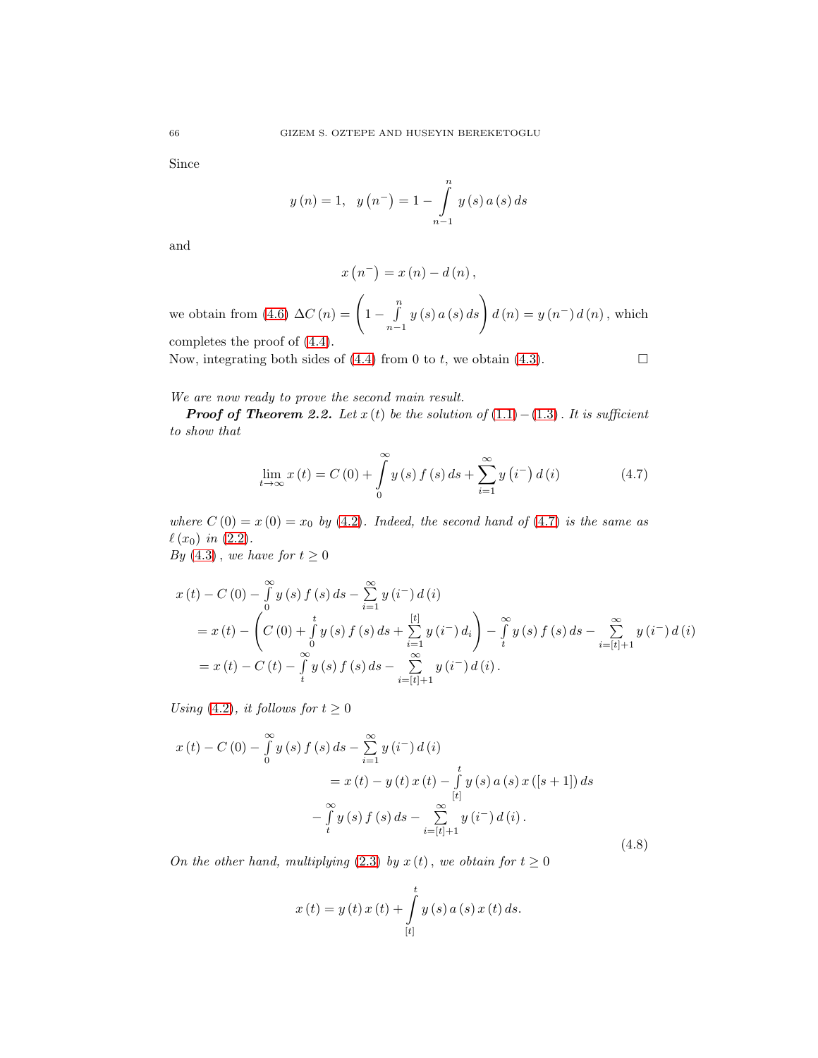Since

$$
y(n) = 1, y(n^{-}) = 1 - \int_{n-1}^{n} y(s) a(s) ds
$$

and

$$
x\left( n^{-}\right) =x\left( n\right) -d\left( n\right) ,
$$

we obtain from (4.[6\)](#page-8-3)  $\Delta C(n) = \begin{pmatrix} n & n \\ 1 & \cdots & n \end{pmatrix}$  $n-1$  $y(s) a(s) ds$   $d(n) = y(n^{-1}) d(n)$ , which completes the proof of [\(4](#page-8-4).4).

Now, integrating both sides of [\(4](#page-8-0).4) from 0 to t, we obtain (4.3).  $\Box$ 

We are now ready to prove the second main result.

**Proof of Theorem 2.2.** Let  $x(t)$  be the solution of  $(1.1) - (1.3)$  $(1.1) - (1.3)$ . It is sufficient to show that

<span id="page-9-0"></span>
$$
\lim_{t \to \infty} x(t) = C(0) + \int_{0}^{\infty} y(s) f(s) ds + \sum_{i=1}^{\infty} y(i^{-}) d(i)
$$
 (4.7)

where  $C(0) = x(0) = x_0$  by [\(4](#page-8-1).2). Indeed, the second hand of (4.[7\)](#page-9-0) is the same as  $\ell(x_0)$  in (2.[2\)](#page-5-4).

By  $(4.3)$  $(4.3)$ , we have for  $t \geq 0$ 

$$
x(t) - C(0) - \int_{0}^{\infty} y(s) f(s) ds - \sum_{i=1}^{\infty} y(i^{-}) d(i)
$$
  
=  $x(t) - \left(C(0) + \int_{0}^{t} y(s) f(s) ds + \sum_{i=1}^{\lfloor t \rfloor} y(i^{-}) d_i\right) - \int_{t}^{\infty} y(s) f(s) ds - \sum_{i=\lfloor t \rfloor + 1}^{\infty} y(i^{-}) d(i)$   
=  $x(t) - C(t) - \int_{t}^{\infty} y(s) f(s) ds - \sum_{i=\lfloor t \rfloor + 1}^{\infty} y(i^{-}) d(i).$ 

Using (4.[2\)](#page-8-1), it follows for  $t \geq 0$ 

<span id="page-9-1"></span>
$$
x(t) - C(0) - \int_{0}^{\infty} y(s) f(s) ds - \sum_{i=1}^{\infty} y(i^{-}) d(i)
$$
  
=  $x(t) - y(t) x(t) - \int_{[t]}^{t} y(s) a(s) x([s+1]) ds$   

$$
- \int_{t}^{\infty} y(s) f(s) ds - \sum_{i=[t]+1}^{\infty} y(i^{-}) d(i).
$$
 (4.8)

On the other hand, multiplying (2.[3\)](#page-5-3) by  $x(t)$ , we obtain for  $t \geq 0$ 

$$
x(t) = y(t) x(t) + \int_{[t]}^{t} y(s) a(s) x(t) ds.
$$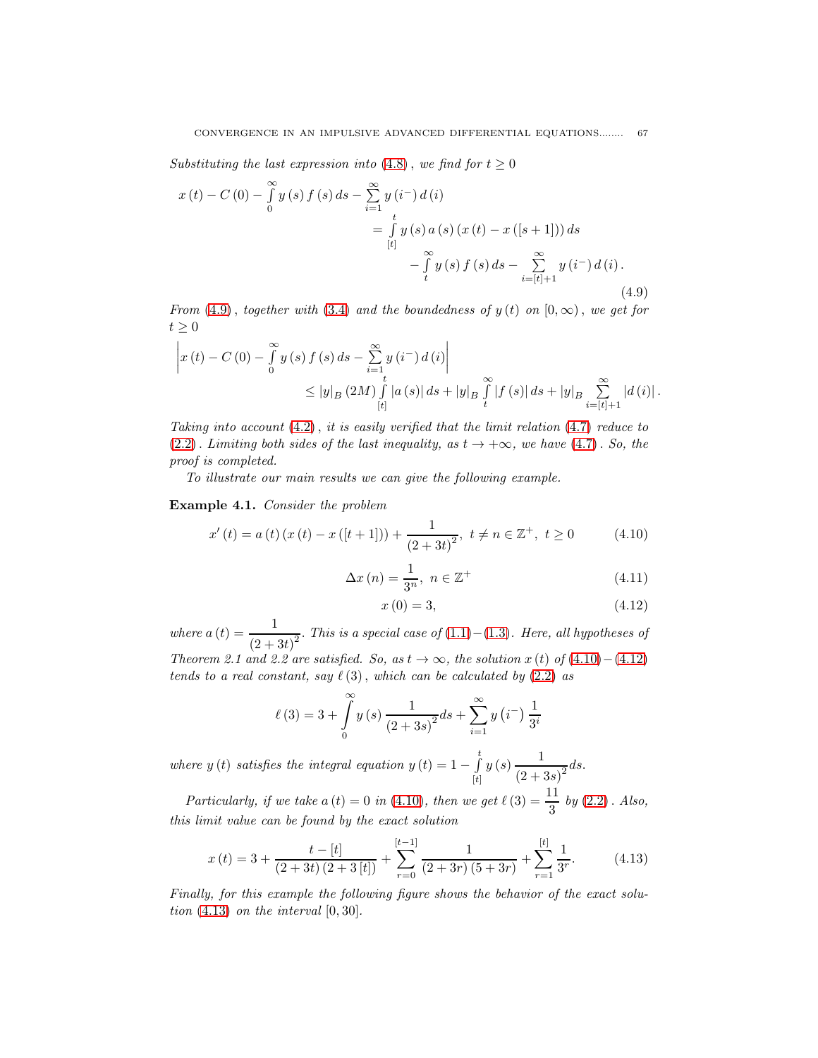Substituting the last expression into (4.[8\)](#page-9-1), we find for  $t \geq 0$ 

<span id="page-10-0"></span>
$$
x(t) - C(0) - \int_{0}^{\infty} y(s) f(s) ds - \sum_{i=1}^{\infty} y(i^{-}) d(i)
$$
  
= 
$$
\int_{[t]}^{t} y(s) a(s) (x(t) - x([s+1])) ds - \int_{t}^{\infty} y(s) f(s) ds - \sum_{i=[t]+1}^{\infty} y(i^{-}) d(i).
$$
 (4.9)

From (4.[9\)](#page-10-0), together with [\(3](#page-6-0).4) and the boundedness of  $y(t)$  on  $[0,\infty)$ , we get for  $t\geq 0$ 

$$
\left| x(t) - C(0) - \int_{0}^{\infty} y(s) f(s) ds - \sum_{i=1}^{\infty} y(i^{-}) d(i) \right|
$$
  
\$\leq |y|\_{B} (2M) \int\_{[t]} |a(s)| ds + |y|\_{B} \int\_{t}^{\infty} |f(s)| ds + |y|\_{B} \sum\_{i=[t]+1}^{\infty} |d(i)|.\$

Taking into account [\(4](#page-8-1).2), it is easily verified that the limit relation (4.[7\)](#page-9-0) reduce to  $(2.2)$  $(2.2)$ . Limiting both sides of the last inequality, as  $t \rightarrow +\infty$ , we have  $(4.7)$  $(4.7)$ . So, the proof is completed.

To illustrate our main results we can give the following example.

Example 4.1. Consider the problem

<span id="page-10-1"></span>
$$
x'(t) = a(t)(x(t) - x([t+1])) + \frac{1}{(2+3t)^2}, \ t \neq n \in \mathbb{Z}^+, \ t \geq 0 \tag{4.10}
$$

$$
\Delta x(n) = \frac{1}{3^n}, \ n \in \mathbb{Z}^+\tag{4.11}
$$

<span id="page-10-2"></span>
$$
x(0) = 3, \t(4.12)
$$

where  $a(t) = \frac{1}{\sqrt{1 - t^2}}$  $\frac{1}{(2+3t)^2}$ . This is a special case of (1.[1\)](#page-1-0)–[\(1](#page-1-1).3). Here, all hypotheses of Theorem 2.1 and 2.2 are satisfied. So, as  $t \to \infty$ , the solution  $x(t)$  of  $(4.10) - (4.12)$  $(4.10) - (4.12)$  $(4.10) - (4.12)$  $(4.10) - (4.12)$ tends to a real constant, say  $\ell(3)$ , which can be calculated by  $(2.2)$  $(2.2)$  as

$$
\ell(3) = 3 + \int_{0}^{\infty} y(s) \frac{1}{(2+3s)^{2}} ds + \sum_{i=1}^{\infty} y(i^{-}) \frac{1}{3^{i}}
$$

where y (t) satisfies the integral equation  $y(t) = 1 - \int_0^t$  $[t]$  $y(s) \frac{1}{\sqrt{s}}$  $\frac{1}{(2+3s)^2}$ ds.

Particularly, if we take  $a(t) = 0$  in (4.[10\)](#page-10-1), then we get  $\ell(3) = \frac{11}{3}$  by [\(2](#page-5-4).2). Also, this limit value can be found by the exact solution

<span id="page-10-3"></span>
$$
x(t) = 3 + \frac{t - [t]}{(2 + 3t)(2 + 3[t])} + \sum_{r=0}^{[t-1]} \frac{1}{(2 + 3r)(5 + 3r)} + \sum_{r=1}^{[t]} \frac{1}{3^r}.
$$
 (4.13)

Finally, for this example the following figure shows the behavior of the exact solution  $(4.13)$  $(4.13)$  on the interval  $[0, 30]$ .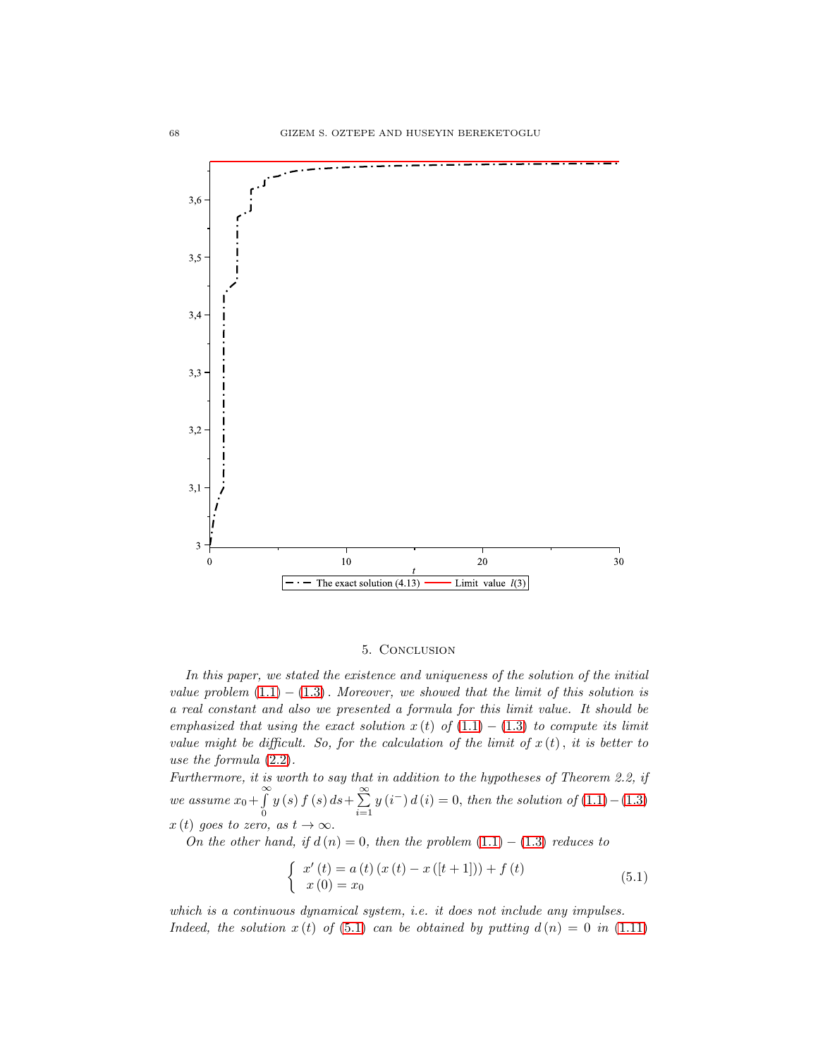

## 5. Conclusion

In this paper, we stated the existence and uniqueness of the solution of the initial value problem  $(1.1) - (1.3)$  $(1.1) - (1.3)$  $(1.1) - (1.3)$  $(1.1) - (1.3)$ . Moreover, we showed that the limit of this solution is a real constant and also we presented a formula for this limit value. It should be emphasized that using the exact solution  $x(t)$  of  $(1.1) - (1.3)$  $(1.1) - (1.3)$  $(1.1) - (1.3)$  to compute its limit value might be difficult. So, for the calculation of the limit of  $x(t)$ , it is better to use the formula [\(2](#page-5-4).2).

Furthermore, it is worth to say that in addition to the hypotheses of Theorem 2.2, if we assume  $x_0 + \int_0^\infty$ 0  $y(s) f(s) ds + \sum_{i=1}^{\infty}$  $\sum_{i=1}$  $y(i^-) d(i) = 0$ , then the solution of  $(1.1) - (1.3)$  $(1.1) - (1.3)$  $(1.1) - (1.3)$  $(1.1) - (1.3)$  $(1.1) - (1.3)$  $x(t)$  goes to zero, as  $t \to \infty$ .

On the other hand, if  $d(n) = 0$ , then the problem  $(1.1) - (1.3)$  $(1.1) - (1.3)$  $(1.1) - (1.3)$  reduces to

<span id="page-11-0"></span>
$$
\begin{cases}\nx'(t) = a(t) (x(t) - x([t+1])) + f(t) \\
x(0) = x_0\n\end{cases}
$$
\n(5.1)

which is a continuous dynamical system, i.e. it does not include any impulses. Indeed, the solution  $x(t)$  of (5.[1\)](#page-11-0) can be obtained by putting  $d(n) = 0$  in (1.[11\)](#page-4-1)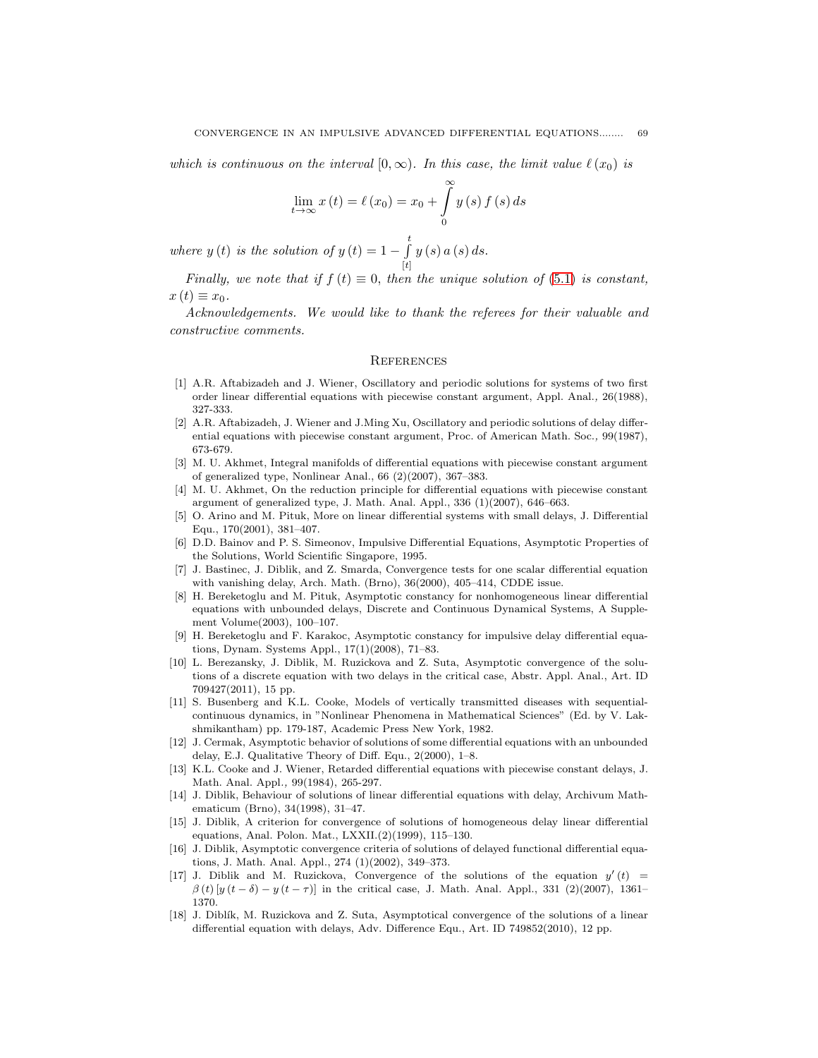which is continuous on the interval  $[0, \infty)$ . In this case, the limit value  $\ell(x_0)$  is

$$
\lim_{t \to \infty} x(t) = \ell(x_0) = x_0 + \int_{0}^{\infty} y(s) f(s) ds
$$

where y (t) is the solution of  $y(t) = 1 - \int_0^t$  $[t]$  $y(s) a(s) ds.$ 

Finally, we note that if  $f(t) \equiv 0$ , then the unique solution of [\(5](#page-11-0).1) is constant,  $x(t) \equiv x_0$ .

Acknowledgements. We would like to thank the referees for their valuable and constructive comments.

#### **REFERENCES**

- <span id="page-12-2"></span>[1] A.R. Aftabizadeh and J. Wiener, Oscillatory and periodic solutions for systems of two first order linear differential equations with piecewise constant argument, Appl. Anal.*,* 26(1988), 327-333.
- [2] A.R. Aftabizadeh, J. Wiener and J.Ming Xu, Oscillatory and periodic solutions of delay differential equations with piecewise constant argument, Proc. of American Math. Soc.*,* 99(1987), 673-679.
- [3] M. U. Akhmet, Integral manifolds of differential equations with piecewise constant argument of generalized type, Nonlinear Anal., 66 (2)(2007), 367–383.
- <span id="page-12-3"></span>[4] M. U. Akhmet, On the reduction principle for differential equations with piecewise constant argument of generalized type, J. Math. Anal. Appl.,  $336$   $(1)(2007)$ ,  $646-663$ .
- <span id="page-12-5"></span>[5] O. Arino and M. Pituk, More on linear differential systems with small delays, J. Differential Equ., 170(2001), 381–407.
- <span id="page-12-4"></span>[6] D.D. Bainov and P. S. Simeonov, Impulsive Differential Equations, Asymptotic Properties of the Solutions, World Scientific Singapore, 1995.
- <span id="page-12-6"></span>[7] J. Bastinec, J. Diblik, and Z. Smarda, Convergence tests for one scalar differential equation with vanishing delay, Arch. Math. (Brno), 36(2000), 405–414, CDDE issue.
- <span id="page-12-7"></span>[8] H. Bereketoglu and M. Pituk, Asymptotic constancy for nonhomogeneous linear differential equations with unbounded delays, Discrete and Continuous Dynamical Systems, A Supplement Volume(2003), 100–107.
- <span id="page-12-11"></span>[9] H. Bereketoglu and F. Karakoc, Asymptotic constancy for impulsive delay differential equations, Dynam. Systems Appl., 17(1)(2008), 71–83.
- <span id="page-12-8"></span>[10] L. Berezansky, J. Diblik, M. Ruzickova and Z. Suta, Asymptotic convergence of the solutions of a discrete equation with two delays in the critical case, Abstr. Appl. Anal., Art. ID 709427(2011), 15 pp.
- <span id="page-12-1"></span>[11] S. Busenberg and K.L. Cooke, Models of vertically transmitted diseases with sequentialcontinuous dynamics, in "Nonlinear Phenomena in Mathematical Sciences" (Ed. by V. Lakshmikantham) pp. 179-187, Academic Press New York, 1982.
- <span id="page-12-9"></span>[12] J. Cermak, Asymptotic behavior of solutions of some differential equations with an unbounded delay, E.J. Qualitative Theory of Diff. Equ., 2(2000), 1–8.
- <span id="page-12-0"></span>[13] K.L. Cooke and J. Wiener, Retarded differential equations with piecewise constant delays, J. Math. Anal. Appl*.,* 99(1984), 265-297.
- <span id="page-12-10"></span>[14] J. Diblik, Behaviour of solutions of linear differential equations with delay, Archivum Mathematicum (Brno), 34(1998), 31–47.
- [15] J. Diblik, A criterion for convergence of solutions of homogeneous delay linear differential equations, Anal. Polon. Mat., LXXII.(2)(1999), 115–130.
- [16] J. Diblik, Asymptotic convergence criteria of solutions of delayed functional differential equations, J. Math. Anal. Appl., 274 (1)(2002), 349–373.
- [17] J. Diblik and M. Ruzickova, Convergence of the solutions of the equation  $y'(t)$  =  $\beta(t) [y(t-\delta) - y(t-\tau)]$  in the critical case, J. Math. Anal. Appl., 331 (2)(2007), 1361– 1370.
- [18] J. Diblík, M. Ruzickova and Z. Suta, Asymptotical convergence of the solutions of a linear differential equation with delays, Adv. Difference Equ., Art. ID 749852(2010), 12 pp.